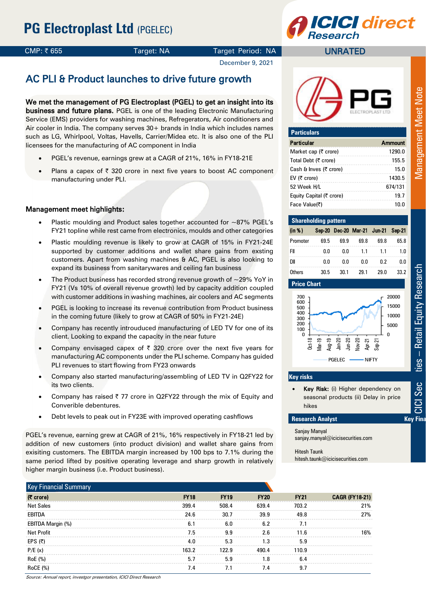

UNRATED

## CMP: ₹655 Target: NA Target Period: NA

December 9, 2021

# AC PLI & Product launches to drive future growth

We met the management of PG Electroplast (PGEL) to get an insight into its business and future plans. PGEL is one of the leading Electronic Manufacturing Service (EMS) providers for washing machines, Refregerators, Air conditioners and Air cooler in India. The company serves 30+ brands in India which includes names such as LG, Whirlpool, Voltas, Havells, Carrier/Midea etc. It is also one of the PLI licensees for the manufacturing of AC component in India

- PGEL's revenue, earnings grew at a CAGR of 21%, 16% in FY18-21E
- Plans a capex of  $\bar{\tau}$  320 crore in next five years to boost AC component manufacturing under PLI.

### Management meet highlights:

- Plastic moulding and Product sales together accounted for ~87% PGEL's FY21 topline while rest came from electronics, moulds and other categories
- Plastic moulding revenue is likely to grow at CAGR of 15% in FY21-24E supported by customer additions and wallet share gains from exsting customers. Apart from washing machines & AC, PGEL is also looking to expand its business from sanitarywares and ceiling fan business
- The Product business has recorded strong revenue growth of  $\sim$ 29% YoY in FY21 (Vs 10% of overall revenue growth) led by capacity addition coupled with customer additions in washing machines, air coolers and AC segments
- PGEL is looking to increase its revenue contribution from Product business in the coming future (likely to grow at CAGR of 50% in FY21-24E)
- Company has recently introuduced manufacturing of LED TV for one of its client. Looking to expand the capacity in the near future
- Company envisaged capex of  $\bar{\tau}$  320 crore over the next five years for manufacturing AC components under the PLI scheme. Company has guided PLI revenues to start flowing from FY23 onwards
- Company also started manufacturing/assembling of LED TV in Q2FY22 for its two clients.
- Company has raised  $\overline{\zeta}$  77 crore in Q2FY22 through the mix of Equity and Converible debentures.
- Debt levels to peak out in FY23E with improved operating cashflows

PGEL's revenue, earning grew at CAGR of 21%, 16% respectively in FY18-21 led by addition of new customers (into product division) and wallet share gains from exisiting customers. The EBITDA margin increased by 100 bps to 7.1% during the same period lifted by positive operating leverage and sharp growth in relatively higher margin business (i.e. Product business).

| $(5 \text{ core})$ | <b>FY18</b> | <b>FY19</b> | <b>FY20</b> | <b>FY21</b> | <b>CAGR (FY18-21)</b> |
|--------------------|-------------|-------------|-------------|-------------|-----------------------|
| <b>Net Sales</b>   | 399.4       | 508.4       | 639.4       | 703.2       | 21%                   |
| EBITDA             | 24.6        | 30.7        | 39.9        | 49.8        | 27%                   |
| EBITDA Margin (%)  | 6.1         | 6.0         | 6.2         | 7.1         |                       |
| <b>Net Profit</b>  | 7.5         | 9.9         | 2.6         | 11.6        | 16%                   |
| EPS $(5)$          | 4.0         | 5.3         | 1.3         | 5.9         |                       |
| P/E(x)             | 163.2       | 122.9       | 490.4       | 110.9       |                       |
| RoE (%)            | 5.7         | 5.9         | 1.8         | 6.4         |                       |
| <b>RoCE</b> (%)    | 7.4         | 7.1         | 7.4         | 9.7         |                       |

| <b>Particulars</b>       |                |
|--------------------------|----------------|
| <b>Particular</b>        | <b>Ammount</b> |
| Market cap (₹ crore)     | 1290.0         |
| Total Debt (₹ crore)     | 155.5          |
| Cash & Inves (₹ crore)   | 15.0           |
| EV (₹ crore)             | 1430.5         |
| 52 Week H/L              | 674/131        |
| Equity Capital (₹ crore) | 19.7           |
| Face Value(₹)            | 10.0           |

| <b>Shareholding pattern</b> |      |      |                                    |      |      |
|-----------------------------|------|------|------------------------------------|------|------|
| (in %)                      |      |      | Sep-20 Dec-20 Mar-21 Jun-21 Sep-21 |      |      |
| Promoter                    | 69.5 | 69.9 | 69.8                               | 69.8 | 65.8 |
| FII                         | 0.0  | 0.0  | 11                                 | 1.1  | 1 N  |
| DІІ                         | 0.0  | 0.0  | 0.0                                | በ 2  | 0.0  |
| Others                      | 30.5 | 30 1 | 29 1                               | 29 U | 33 2 |





#### **Key risks**

 Key Risk: (i) Higher dependency on seasonal products (ii) Delay in price hikes

#### **Research Analyst Contract Bummary Summary Summary Summary Summary Summary Summary Summary Summary Summary Summary Summary Summary Summary Summary Summary Summary 30 and Summary 30 and Summary 30 and Summary 30 and Summa**

Sanjay Manyal sanjay.manyal@icicisecurities.com

Hitesh Taunk hitesh.taunk@icicisecurities.com **Management Meet Note**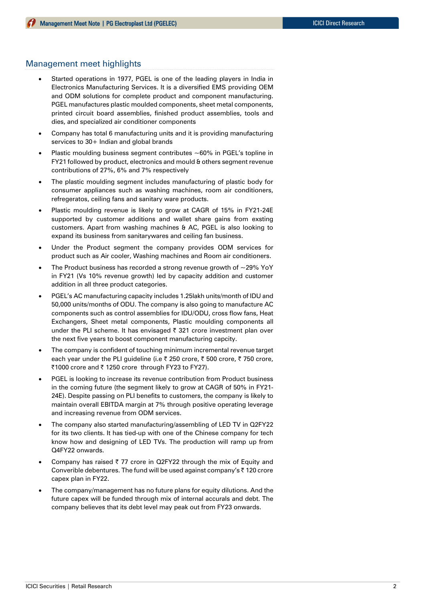## Management meet highlights

- Started operations in 1977, PGEL is one of the leading players in India in Electronics Manufacturing Services. It is a diversified EMS providing OEM and ODM solutions for complete product and component manufacturing. PGEL manufactures plastic moulded components, sheet metal components, printed circuit board assemblies, finished product assemblies, tools and dies, and specialized air conditioner components
- Company has total 6 manufacturing units and it is providing manufacturing services to 30+ Indian and global brands
- Plastic moulding business segment contributes  $~60\%$  in PGEL's topline in FY21 followed by product, electronics and mould & others segment revenue contributions of 27%, 6% and 7% respectively
- The plastic moulding segment includes manufacturing of plastic body for consumer appliances such as washing machines, room air conditioners, refregeratos, ceiling fans and sanitary ware products.
- Plastic moulding revenue is likely to grow at CAGR of 15% in FY21-24E supported by customer additions and wallet share gains from exsting customers. Apart from washing machines & AC, PGEL is also looking to expand its business from sanitarywares and ceiling fan business.
- Under the Product segment the company provides ODM services for product such as Air cooler, Washing machines and Room air conditioners.
- The Product business has recorded a strong revenue growth of  $\sim$ 29% YoY in FY21 (Vs 10% revenue growth) led by capacity addition and customer addition in all three product categories.
- PGEL's AC manufacturing capacity includes 1.25lakh units/month of IDU and 50,000 units/months of ODU. The company is also going to manufacture AC components such as control assemblies for IDU/ODU, cross flow fans, Heat Exchangers, Sheet metal components, Plastic moulding components all under the PLI scheme. It has envisaged  $\bar{\tau}$  321 crore investment plan over the next five years to boost component manufacturing capcity.
- The company is confident of touching minimum incremental revenue target each year under the PLI guideline (i.e ₹ 250 crore, ₹ 500 crore, ₹ 750 crore, ₹1000 crore and ₹ 1250 crore through FY23 to FY27).
- PGEL is looking to increase its revenue contribution from Product business in the coming future (the segment likely to grow at CAGR of 50% in FY21- 24E). Despite passing on PLI benefits to customers, the company is likely to maintain overall EBITDA margin at 7% through positive operating leverage and increasing revenue from ODM services.
- The company also started manufacturing/assembling of LED TV in Q2FY22 for its two clients. It has tied-up with one of the Chinese company for tech know how and designing of LED TVs. The production will ramp up from Q4FY22 onwards.
- Company has raised  $\overline{\zeta}$  77 crore in Q2FY22 through the mix of Equity and Converible debentures. The fund will be used against company's ₹120 crore capex plan in FY22.
- The company/management has no future plans for equity dilutions. And the future capex will be funded through mix of internal accurals and debt. The company believes that its debt level may peak out from FY23 onwards.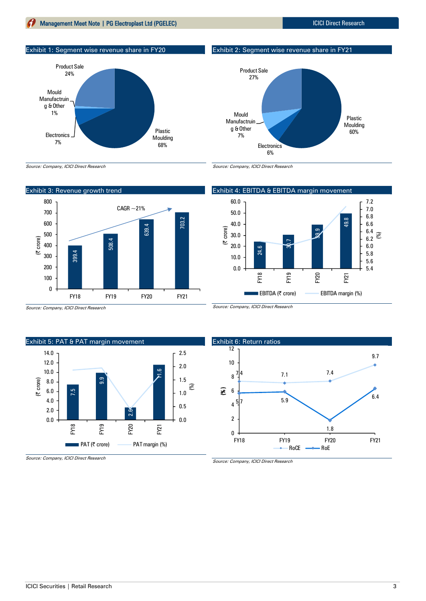## **Management Meet Note | PG Electroplast Ltd (PGELEC)** ICICI Direct Research

Exhibit 1: Segment wise revenue share in FY20



Exhibit 2: Segment wise revenue share in FY21



Source: Company, ICICI Direct Research





Source: Company, ICICI Direct Research

Exhibit 5: PAT & PAT margin movement 7.5 တ<br>တ 2.6 .<br>Σ 0.0 0.5 1.0 1.5 2.0 2.5 0.0 2.0 4.0 6.0 8.0 10.0 12.0 14.0 FY18 FY19 FY20 FY21 (| crore) **EXECUTE:** PAT (₹ crore) PAT margin (%)

Source: Company, ICICI Direct Research

0.0 10.0 20.0 30.0 40.0 50.0

(| crore)

(%)

24.6



Source: Company, ICICI Direct Research

Source: Company, ICICI Direct Research

Exhibit 4: EBITDA & EBITDA margin movement 60.0

<u>ఇ</u>,

39.9

49.8

FY21

5.4 5.6 5.8 6.0  $_{6.2}^{\circ}$   $_{\odot}^{\circ}$ 6.4 6.6 6.8 7.0 7.2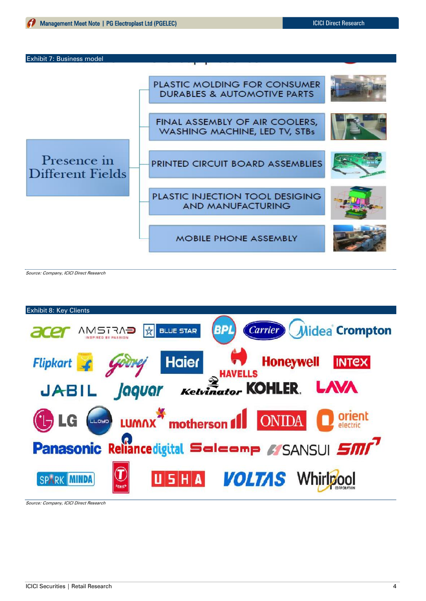



Source: Company, ICICI Direct Research



Source: Company, ICICI Direct Research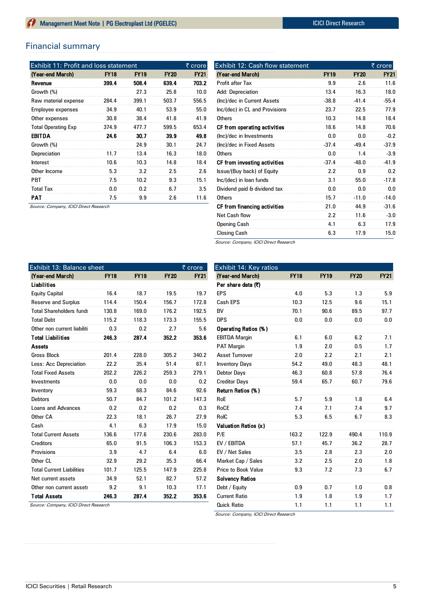## Financial summary

| <b>Exhibit 11: Profit and loss statement</b> |             |             |             | $\overline{\xi}$ crore |
|----------------------------------------------|-------------|-------------|-------------|------------------------|
| (Year-end March)                             | <b>FY18</b> | <b>FY19</b> | <b>FY20</b> | <b>FY21</b>            |
| Revenue                                      | 399.4       | 508.4       | 639.4       | 703.2                  |
| Growth (%)                                   |             | 27.3        | 25.8        | 10.0                   |
| Raw material expense                         | 284.4       | 399.1       | 503.7       | 556.5                  |
| <b>Employee expenses</b>                     | 34.9        | 40.1        | 53.9        | 55.0                   |
| Other expenses                               | 30.8        | 38.4        | 41.8        | 41.9                   |
| <b>Total Operating Exp</b>                   | 374.9       | 477.7       | 599.5       | 653.4                  |
| <b>EBITDA</b>                                | 24.6        | 30.7        | 39.9        | 49.8                   |
| Growth (%)                                   |             | 24.9        | 30.1        | 24.7                   |
| Depreciation                                 | 11.7        | 13.4        | 16.3        | 18.0                   |
| Interest                                     | 10.6        | 10.3        | 14.8        | 18.4                   |
| Other Income                                 | 5.3         | 3.2         | 2.5         | 2.6                    |
| <b>PBT</b>                                   | 7.5         | 10.2        | 9.3         | 15.1                   |
| <b>Total Tax</b>                             | 0.0         | 0.2         | 6.7         | 3.5                    |
| PAT                                          | 7.5         | 9.9         | 2.6         | 11.6                   |

| Exhibit 12: Cash flow statement |             |             | ₹ crore     |
|---------------------------------|-------------|-------------|-------------|
| (Year-end March)                | <b>FY19</b> | <b>FY20</b> | <b>FY21</b> |
| Profit after Tax                | 9.9         | 2.6         | 11.6        |
| Add: Depreciation               | 13.4        | 16.3        | 18.0        |
| (Inc)/dec in Current Assets     | $-38.8$     | $-41.4$     | $-55.4$     |
| Inc/(dec) in CL and Provisions  | 23.7        | 22.5        | 77.9        |
| Others                          | 10.3        | 14.8        | 18.4        |
| CF from operating activities    | 18.6        | 14.8        | 70.6        |
| (Inc)/dec in Investments        | 0.0         | 0.0         | $-0.2$      |
| (Inc)/dec in Fixed Assets       | $-37.4$     | $-49.4$     | $-37.9$     |
| <b>Others</b>                   | 0.0         | 1.4         | $-3.9$      |
| CF from investing activities    | $-37.4$     | $-48.0$     | $-41.9$     |
| Issue/(Buy back) of Equity      | 2.2         | 0.9         | 0.2         |
| Inc/(dec) in loan funds         | 3.1         | 55.0        | $-17.8$     |
| Dividend paid & dividend tax    | 0.0         | 0.0         | 0.0         |
| <b>Others</b>                   | 15.7        | $-11.0$     | $-14.0$     |
| CF from financing activities    | 21.0        | 44.9        | $-31.6$     |
| <b>Net Cash flow</b>            | 2.2         | 11.6        | $-3.0$      |
| Opening Cash                    | 4.1         | 6.3         | 17.9        |
| <b>Closing Cash</b>             | 6.3         | 17.9        | 15.0        |

Source: Company, ICICI Direct Research

| Exhibit 13: Balance sheet        |             |             |             | ₹ crore     |
|----------------------------------|-------------|-------------|-------------|-------------|
| (Year-end March)                 | <b>FY18</b> | <b>FY19</b> | <b>FY20</b> | <b>FY21</b> |
| Liabilities                      |             |             |             |             |
| <b>Equity Capital</b>            | 16.4        | 18.7        | 19.5        | 19.7        |
| <b>Reserve and Surplus</b>       | 114.4       | 150.4       | 156.7       | 172.8       |
| <b>Total Shareholders funds</b>  | 130.8       | 169.0       | 176.2       | 192.5       |
| <b>Total Debt</b>                | 115.2       | 118.3       | 173.3       | 155.5       |
| Other non current liabiliti      | 0.3         | 0.2         | 2.7         | 5.6         |
| <b>Total Liabilities</b>         | 246.3       | 287.4       | 352.2       | 353.6       |
| Assets                           |             |             |             |             |
| <b>Gross Block</b>               | 201.4       | 228.0       | 305.2       | 340.2       |
| Less: Acc Depreciation           | 22.2        | 35.4        | 51.4        | 67.1        |
| <b>Total Fixed Assets</b>        | 202.2       | 226.2       | 259.3       | 279.1       |
| Investments                      | 0.0         | 0.0         | 0.0         | 0.2         |
| Inventory                        | 59.3        | 68.3        | 84.6        | 92.6        |
| <b>Debtors</b>                   | 50.7        | 84.7        | 101.2       | 147.3       |
| <b>Loans and Advances</b>        | 0.2         | 0.2         | 0.2         | 0.3         |
| Other CA                         | 22.3        | 18.1        | 26.7        | 27.9        |
| Cash                             | 4.1         | 6.3         | 17.9        | 15.0        |
| <b>Total Current Assets</b>      | 136.6       | 177.6       | 230.6       | 283.0       |
| Creditors                        | 65.0        | 91.5        | 106.3       | 153.3       |
| Provisions                       | 3.9         | 4.7         | 6.4         | 6.0         |
| Other CL                         | 32.9        | 29.2        | 35.3        | 66.4        |
| <b>Total Current Liabilities</b> | 101.7       | 125.5       | 147.9       | 225.8       |
| Net current assets               | 34.9        | 52.1        | 82.7        | 57.2        |
| Other non current assets         | 9.2         | 9.1         | 10.3        | 17.1        |
| <b>Total Assets</b>              | 246.3       | 287.4       | 352.2       | 353.6       |

Source: Company, ICICI Direct Research

| Exhibit 14: Key ratios     |             |             |             |             |
|----------------------------|-------------|-------------|-------------|-------------|
| (Year-end March)           | <b>FY18</b> | <b>FY19</b> | <b>FY20</b> | <b>FY21</b> |
| Per share data (₹)         |             |             |             |             |
| <b>EPS</b>                 | 4.0         | 5.3         | 1.3         | 5.9         |
| Cash EPS                   | 10.3        | 12.5        | 9.6         | 15.1        |
| <b>BV</b>                  | 70.1        | 90.6        | 89.5        | 97.7        |
| <b>DPS</b>                 | 0.0         | 0.0         | 0.0         | 0.0         |
| Operating Ratios (%)       |             |             |             |             |
| <b>EBITDA Margin</b>       | 6.1         | 6.0         | 6.2         | 7.1         |
| <b>PAT Margin</b>          | 1.9         | 2.0         | 0.5         | 1.7         |
| <b>Asset Turnover</b>      | 2.0         | 2.2         | 2.1         | 2.1         |
| <b>Inventory Days</b>      | 54.2        | 49.0        | 48.3        | 48.1        |
| Debtor Days                | 46.3        | 60.8        | 57.8        | 76.4        |
| <b>Creditor Days</b>       | 59.4        | 65.7        | 60.7        | 79.6        |
| Return Ratios (%)          |             |             |             |             |
| RoE                        | 5.7         | 5.9         | 1.8         | 6.4         |
| RoCE                       | 7.4         | 7.1         | 7.4         | 9.7         |
| RoIC                       | 5.3         | 6.5         | 6.7         | 8.3         |
| Valuation Ratios (x)       |             |             |             |             |
| P/E                        | 163.2       | 122.9       | 490.4       | 110.9       |
| EV / EBITDA                | 57.1        | 45.7        | 36.2        | 28.7        |
| EV / Net Sales             | 3.5         | 2.8         | 2.3         | 2.0         |
| Market Cap / Sales         | 3.2         | 2.5         | 2.0         | 1.8         |
| <b>Price to Book Value</b> | 9.3         | 7.2         | 7.3         | 6.7         |
| <b>Solvency Ratios</b>     |             |             |             |             |
| Debt / Equity              | 0.9         | 0.7         | 1.0         | 0.8         |
| <b>Current Ratio</b>       | 1.9         | 1.8         | 1.9         | 1.7         |
| <b>Quick Ratio</b>         | 1.1         | 1.1         | 1.1         | 1.1         |

Source: Company, ICICI Direct Research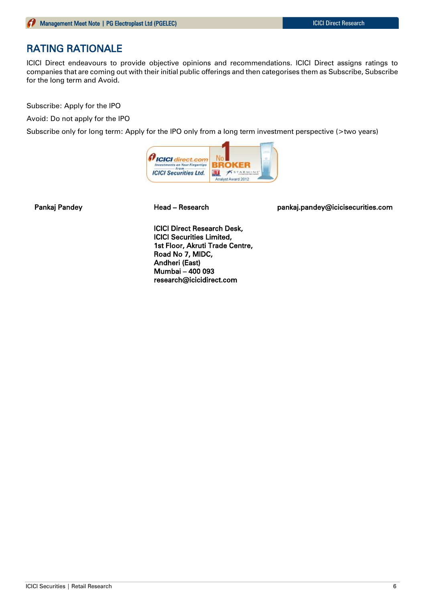# RATING RATIONALE

ICICI Direct endeavours to provide objective opinions and recommendations. ICICI Direct assigns ratings to companies that are coming out with their initial public offerings and then categorises them as Subscribe, Subscribe for the long term and Avoid.

Subscribe: Apply for the IPO

Avoid: Do not apply for the IPO

Subscribe only for long term: Apply for the IPO only from a long term investment perspective (>two years)



Pankaj Pandey **Mandey Read – Research East Communist Pankaj.pandey@icicisecurities.com** 

ICICI Direct Research Desk, ICICI Securities Limited, 1st Floor, Akruti Trade Centre, Road No 7, MIDC, Andheri (East) Mumbai – 400 093 research@icicidirect.com